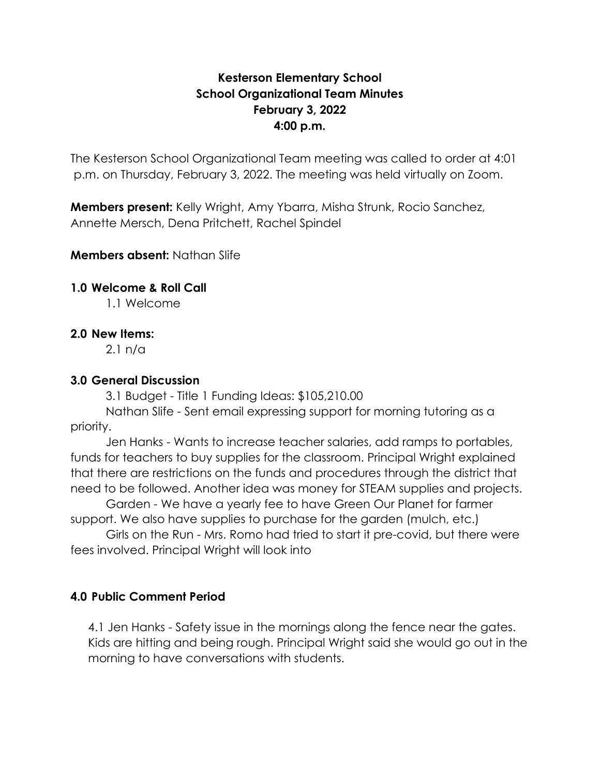## **Kesterson Elementary School School Organizational Team Minutes February 3, 2022 4:00 p.m.**

The Kesterson School Organizational Team meeting was called to order at 4:01 p.m. on Thursday, February 3, 2022. The meeting was held virtually on Zoom.

**Members present:** Kelly Wright, Amy Ybarra, Misha Strunk, Rocio Sanchez, Annette Mersch, Dena Pritchett, Rachel Spindel

**Members absent:** Nathan Slife

#### **1.0 Welcome & Roll Call**

1.1 Welcome

#### **2.0 New Items:**

2.1 n/a

## **3.0 General Discussion**

3.1 Budget - Title 1 Funding Ideas: \$105,210.00

Nathan Slife - Sent email expressing support for morning tutoring as a priority.

Jen Hanks - Wants to increase teacher salaries, add ramps to portables, funds for teachers to buy supplies for the classroom. Principal Wright explained that there are restrictions on the funds and procedures through the district that need to be followed. Another idea was money for STEAM supplies and projects.

Garden - We have a yearly fee to have Green Our Planet for farmer support. We also have supplies to purchase for the garden (mulch, etc.)

Girls on the Run - Mrs. Romo had tried to start it pre-covid, but there were fees involved. Principal Wright will look into

## **4.0 Public Comment Period**

4.1 Jen Hanks - Safety issue in the mornings along the fence near the gates. Kids are hitting and being rough. Principal Wright said she would go out in the morning to have conversations with students.